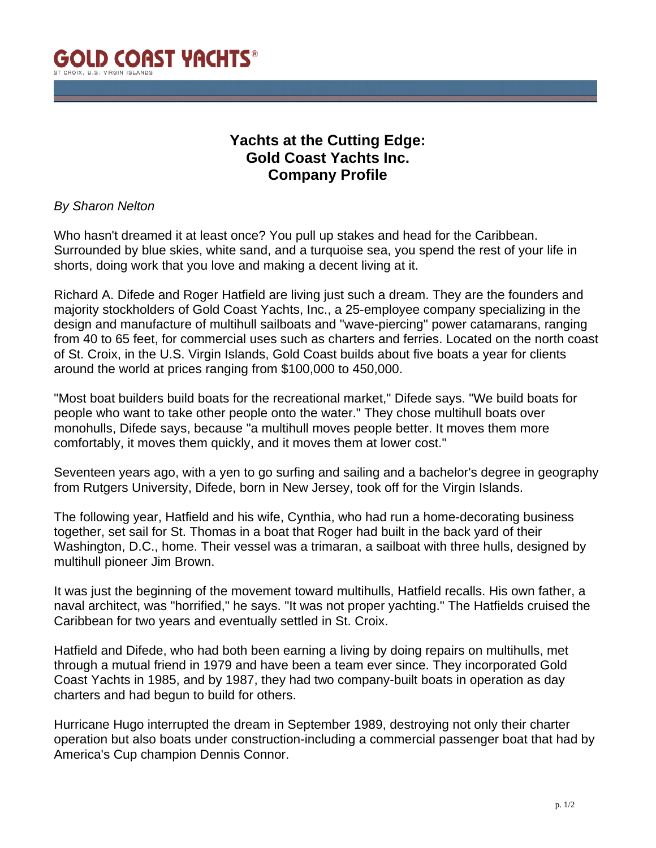

## **Yachts at the Cutting Edge: Gold Coast Yachts Inc. Company Profile**

## *By Sharon Nelton*

Who hasn't dreamed it at least once? You pull up stakes and head for the Caribbean. Surrounded by blue skies, white sand, and a turquoise sea, you spend the rest of your life in shorts, doing work that you love and making a decent living at it.

Richard A. Difede and Roger Hatfield are living just such a dream. They are the founders and majority stockholders of Gold Coast Yachts, Inc., a 25-employee company specializing in the design and manufacture of multihull sailboats and "wave-piercing" power catamarans, ranging from 40 to 65 feet, for commercial uses such as charters and ferries. Located on the north coast of St. Croix, in the U.S. Virgin Islands, Gold Coast builds about five boats a year for clients around the world at prices ranging from \$100,000 to 450,000.

"Most boat builders build boats for the recreational market," Difede says. "We build boats for people who want to take other people onto the water." They chose multihull boats over monohulls, Difede says, because "a multihull moves people better. It moves them more comfortably, it moves them quickly, and it moves them at lower cost."

Seventeen years ago, with a yen to go surfing and sailing and a bachelor's degree in geography from Rutgers University, Difede, born in New Jersey, took off for the Virgin Islands.

The following year, Hatfield and his wife, Cynthia, who had run a home-decorating business together, set sail for St. Thomas in a boat that Roger had built in the back yard of their Washington, D.C., home. Their vessel was a trimaran, a sailboat with three hulls, designed by multihull pioneer Jim Brown.

It was just the beginning of the movement toward multihulls, Hatfield recalls. His own father, a naval architect, was "horrified," he says. "It was not proper yachting." The Hatfields cruised the Caribbean for two years and eventually settled in St. Croix.

Hatfield and Difede, who had both been earning a living by doing repairs on multihulls, met through a mutual friend in 1979 and have been a team ever since. They incorporated Gold Coast Yachts in 1985, and by 1987, they had two company-built boats in operation as day charters and had begun to build for others.

Hurricane Hugo interrupted the dream in September 1989, destroying not only their charter operation but also boats under construction-including a commercial passenger boat that had by America's Cup champion Dennis Connor.